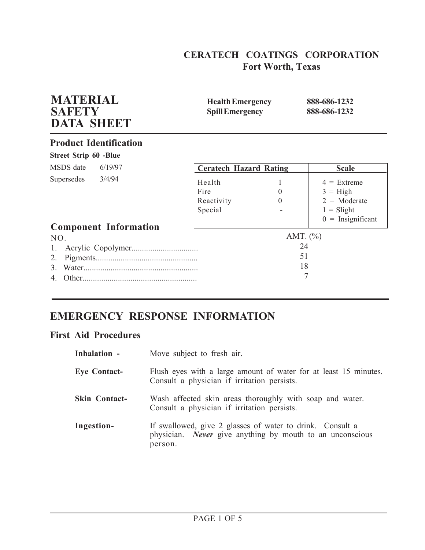# **CERATECH COATINGS CORPORATION Fort Worth, Texas**

| <b>Spill Emergency</b>                  |                      | 888-686-1232                                                                                |
|-----------------------------------------|----------------------|---------------------------------------------------------------------------------------------|
|                                         |                      |                                                                                             |
|                                         |                      |                                                                                             |
|                                         |                      | <b>Scale</b>                                                                                |
| Health<br>Fire<br>Reactivity<br>Special | $\theta$<br>$\Omega$ | $4 =$ Extreme<br>$3 = High$<br>$2 = \text{Moderate}$<br>$1 =$ Slight<br>$0 =$ Insignificant |
|                                         | AMT. $(\% )$         |                                                                                             |
|                                         | 24<br>51<br>18       |                                                                                             |
|                                         |                      | <b>Ceratech Hazard Rating</b><br>7                                                          |

# **EMERGENCY RESPONSE INFORMATION**

# **First Aid Procedures**

| Inhalation -         | Move subject to fresh air.                                                                                                               |
|----------------------|------------------------------------------------------------------------------------------------------------------------------------------|
| <b>Eye Contact-</b>  | Flush eyes with a large amount of water for at least 15 minutes.<br>Consult a physician if irritation persists.                          |
| <b>Skin Contact-</b> | Wash affected skin areas thoroughly with soap and water.<br>Consult a physician if irritation persists.                                  |
| Ingestion-           | If swallowed, give 2 glasses of water to drink. Consult a<br>physician. <i>Never</i> give anything by mouth to an unconscious<br>person. |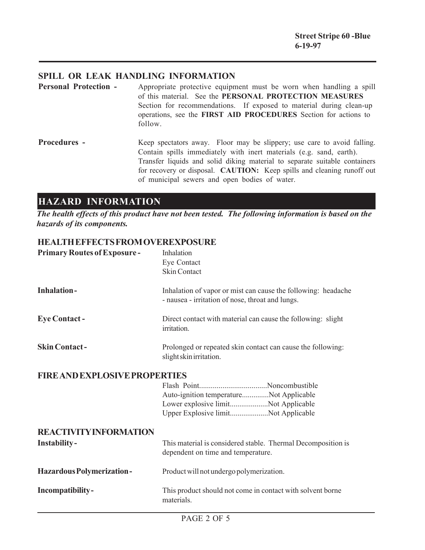## **SPILL OR LEAK HANDLING INFORMATION**

- **Personal Protection -** Appropriate protective equipment must be worn when handling a spill of this material. See the **PERSONAL PROTECTION MEASURES** Section for recommendations. If exposed to material during clean-up operations, see the **FIRST AID PROCEDURES** Section for actions to follow.
- **Procedures -** Keep spectators away. Floor may be slippery; use care to avoid falling. Contain spills immediately with inert materials (e.g. sand, earth). Transfer liquids and solid diking material to separate suitable containers for recovery or disposal. **CAUTION:** Keep spills and cleaning runoff out of municipal sewers and open bodies of water.

# **HAZARD INFORMATION**

*The health effects of this product have not been tested. The following information is based on the hazards of its components.*

### **HEALTH EFFECTS FROM OVEREXPOSURE**

| <b>Primary Routes of Exposure-</b>   | Inhalation<br>Eye Contact<br><b>Skin Contact</b>                                                                      |
|--------------------------------------|-----------------------------------------------------------------------------------------------------------------------|
| <b>Inhalation-</b>                   | Inhalation of vapor or mist can cause the following: headache<br>- nausea - irritation of nose, throat and lungs.     |
| <b>Eye Contact-</b>                  | Direct contact with material can cause the following: slight<br>irritation.                                           |
| <b>Skin Contact-</b>                 | Prolonged or repeated skin contact can cause the following:<br>slight skin irritation.                                |
| <b>FIRE AND EXPLOSIVE PROPERTIES</b> |                                                                                                                       |
|                                      | Auto-ignition temperatureNot Applicable<br>Lower explosive limitNot Applicable<br>Upper Explosive limitNot Applicable |
| <b>REACTIVITY INFORMATION</b>        |                                                                                                                       |
| <b>Instability-</b>                  | This material is considered stable. Thermal Decomposition is<br>dependent on time and temperature.                    |
| <b>Hazardous Polymerization-</b>     | Product will not undergo polymerization.                                                                              |
| Incompatibility-                     | This product should not come in contact with solvent borne<br>materials.                                              |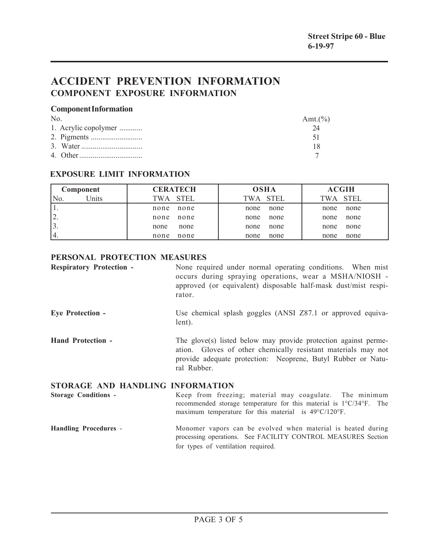# **ACCIDENT PREVENTION INFORMATION COMPONENT EXPOSURE INFORMATION**

#### **Component Information**

| N <sub>0</sub>       | Amt. $(\% )$ |
|----------------------|--------------|
| 1. Acrylic copolymer |              |
|                      | 51           |
|                      |              |
|                      |              |

## **EXPOSURE LIMIT INFORMATION**

| Component                 | <b>CERATECH</b> | <b>OSHA</b> | <b>ACGIH</b> |
|---------------------------|-----------------|-------------|--------------|
| <sup>I</sup> Jnits<br>No. | TWA STEL        | TWA STEL    | TWA STEL     |
|                           | none            | none        | none         |
|                           | none            | none        | none         |
| ۷.                        | none            | none        | none         |
|                           | none            | none        | none         |
|                           | none            | none        | none         |
|                           | none            | none        | none         |
| 14.                       | none            | none        | none         |
|                           | none            | none        | none         |

## **PERSONAL PROTECTION MEASURES**

| <b>Respiratory Protection -</b>  | None required under normal operating conditions. When mist<br>occurs during spraying operations, wear a MSHA/NIOSH -<br>approved (or equivalent) disposable half-mask dust/mist respi-<br>rator.                |
|----------------------------------|-----------------------------------------------------------------------------------------------------------------------------------------------------------------------------------------------------------------|
| <b>Eye Protection -</b>          | Use chemical splash goggles (ANSI Z87.1 or approved equiva-<br>lent).                                                                                                                                           |
| <b>Hand Protection -</b>         | The glove(s) listed below may provide protection against perme-<br>ation. Gloves of other chemically resistant materials may not<br>provide adequate protection: Neoprene, Butyl Rubber or Natu-<br>ral Rubber. |
| STORAGE AND HANDLING INFORMATION |                                                                                                                                                                                                                 |

**Storage Conditions -** Keep from freezing; material may coagulate. The minimum recommended storage temperature for this material is 1°C/34°F. The maximum temperature for this material is 49°C/120°F.

#### **Handling Procedures** - Monomer vapors can be evolved when material is heated during processing operations. See FACILITY CONTROL MEASURES Section for types of ventilation required.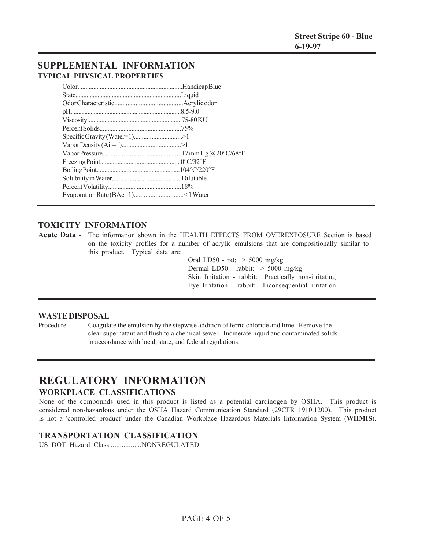# **SUPPLEMENTAL INFORMATION TYPICAL PHYSICAL PROPERTIES**

## **TOXICITY INFORMATION**

**Acute Data -** The information shown in the HEALTH EFFECTS FROM OVEREXPOSURE Section is based on the toxicity profiles for a number of acrylic emulsions that are compositionally similar to this product. Typical data are:

> Oral LD50 - rat: > 5000 mg/kg Dermal LD50 - rabbit: > 5000 mg/kg Skin Irritation - rabbit: Practically non-irritating Eye Irritation - rabbit: Inconsequential irritation

#### **WASTE DISPOSAL**

Procedure - Coagulate the emulsion by the stepwise addition of ferric chloride and lime. Remove the clear supernatant and flush to a chemical sewer. Incinerate liquid and contaminated solids in accordance with local, state, and federal regulations.

## **REGULATORY INFORMATION WORKPLACE CLASSIFICATIONS**

None of the compounds used in this product is listed as a potential carcinogen by OSHA. This product is considered non-hazardous under the OSHA Hazard Communication Standard (29CFR 1910.1200). This product is not a 'controlled product' under the Canadian Workplace Hazardous Materials Information System (**WHMIS**).

### **TRANSPORTATION CLASSIFICATION**

US DOT Hazard Class..................NONREGULATED